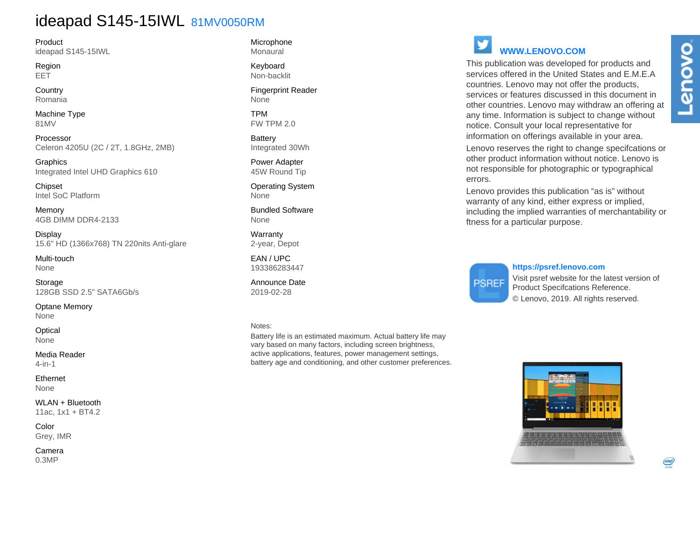## ideapad S145-15IWL 81MV0050RM

Product ideapad S145-15IWL

Region EET

**Country** Romania

Machine Type 81MV

Processor Celeron 4205U (2C / 2T, 1.8GHz, 2MB)

Graphics Integrated Intel UHD Graphics 610

**Chipset** Intel SoC Platform

Memory 4GB DIMM DDR4-2133

Display 15.6" HD (1366x768) TN 220nits Anti-glare

Multi-touch None

Storage 128GB SSD 2.5" SATA6Gb/s

Optane Memory None

**Optical** None

Media Reader 4-in-1

Ethernet None

WLAN + Bluetooth 11ac, 1x1 + BT4.2

Color Grey, IMR

Camera 0.3MP

Microphone Monaural

Keyboard Non-backlit

Fingerprint Reader None

TPM FW TPM 2.0

**Battery** Integrated 30Wh

Power Adapter 45W Round Tip

Operating System None

Bundled Software None

Warranty 2-year, Depot

EAN / UPC 193386283447

Announce Date 2019-02-28

### Notes:

Battery life is an estimated maximum. Actual battery life may vary based on many factors, including screen brightness, active applications, features, power management settings, battery age and conditioning, and other customer preferences.

# **WWW.LENOVO.COM**

This publication was developed for products and services offered in the United States and E.M.E.A countries. Lenovo may not offer the products, services or features discussed in this document in other countries. Lenovo may withdraw an offering at any time. Information is subject to change without notice. Consult your local representative for information on offerings available in your area.

Lenovo reserves the right to change specifcations or other product information without notice. Lenovo is not responsible for photographic or typographical errors.

Lenovo provides this publication "as is" without warranty of any kind, either express or implied, including the implied warranties of merchantability or ftness for a particular purpose.

**PSREF** 

### **https://psref.lenovo.com**

Visit psref website for the latest version of Product Specifcations Reference. © Lenovo, 2019. All rights reserved.

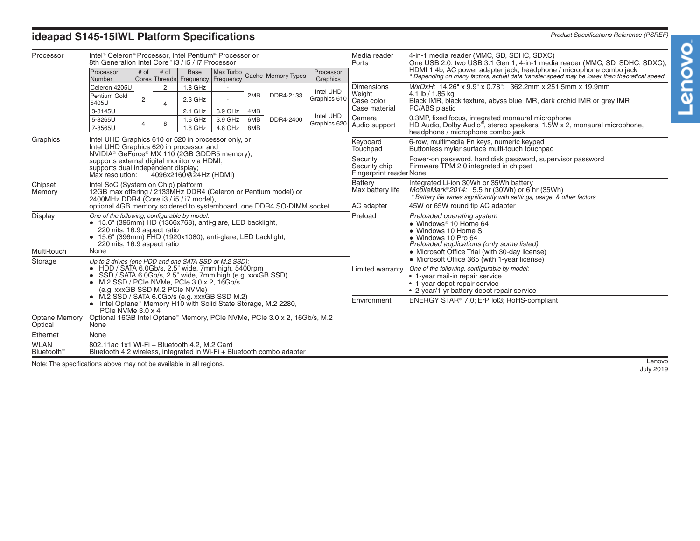## **ideapad S145-15IWL Platform Specifications** *Product Specifications Reference (PSREF)*

| Processor                             | Intel <sup>®</sup> Celeron® Processor, Intel Pentium® Processor or<br>8th Generation Intel Core™ i3 / i5 / i7 Processor                                                                                                                                                                                         |                |                     |                                                  |                    |                   |                    |                           | Media reader<br>Ports                                       | 4-in-1 media reader (MMC, SD, SDHC, SDXC)<br>One USB 2.0, two USB 3.1 Gen 1, 4-in-1 media reader (MMC, SD, SDHC, SDXC),                                                                                                                                                                                               |  |
|---------------------------------------|-----------------------------------------------------------------------------------------------------------------------------------------------------------------------------------------------------------------------------------------------------------------------------------------------------------------|----------------|---------------------|--------------------------------------------------|--------------------|-------------------|--------------------|---------------------------|-------------------------------------------------------------|-----------------------------------------------------------------------------------------------------------------------------------------------------------------------------------------------------------------------------------------------------------------------------------------------------------------------|--|
|                                       | Processor<br>Number                                                                                                                                                                                                                                                                                             | # of           | # of                | <b>Base</b><br>Cores Threads Frequency Frequency | Max Turbo          |                   | Cache Memory Types | Processor<br>Graphics     |                                                             | HDMI 1.4b, AC power adapter jack, headphone / microphone combo jack<br>* Depending on many factors, actual data transfer speed may be lower than theoretical speed                                                                                                                                                    |  |
|                                       | Celeron 4205U                                                                                                                                                                                                                                                                                                   |                | $\overline{2}$<br>4 | $1.8$ GHz                                        |                    |                   | DDR4-2133          | Intel UHD<br>Graphics 610 | <b>Dimensions</b><br>Weight<br>Case color<br>Case material  | WxDxH: 14.26" x 9.9" x 0.78"; 362.2mm x 251.5mm x 19.9mm<br>4.1 lb / 1.85 kg<br>Black IMR, black texture, abyss blue IMR, dark orchid IMR or grey IMR<br>PC/ABS plastic<br>0.3MP, fixed focus, integrated monaural microphone<br>HD Audio, Dolby Audio <sup>®</sup> , stereo speakers, 1.5W x 2, monaural microphone, |  |
|                                       | Pentium Gold<br>5405U                                                                                                                                                                                                                                                                                           | 2              |                     | $2.3$ GHz                                        |                    | 2MB               |                    |                           |                                                             |                                                                                                                                                                                                                                                                                                                       |  |
|                                       | i3-8145U                                                                                                                                                                                                                                                                                                        | $\overline{4}$ | 8                   | 2.1 GHz                                          | 3.9 GHz            | 4MB<br>6MB<br>8MB | DDR4-2400          | Intel UHD<br>Graphics 620 | Camera<br>Audio support                                     |                                                                                                                                                                                                                                                                                                                       |  |
|                                       | i5-8265U<br>i7-8565U                                                                                                                                                                                                                                                                                            |                |                     | 1.6 GHz<br>$1.8$ GHz                             | 3.9 GHz<br>4.6 GHz |                   |                    |                           |                                                             |                                                                                                                                                                                                                                                                                                                       |  |
|                                       |                                                                                                                                                                                                                                                                                                                 |                |                     |                                                  |                    |                   |                    |                           |                                                             | headphone / microphone combo jack                                                                                                                                                                                                                                                                                     |  |
| Graphics                              | Intel UHD Graphics 610 or 620 in processor only, or<br>Intel UHD Graphics 620 in processor and<br>NVIDIA® GeForce® MX 110 (2GB GDDR5 memory);                                                                                                                                                                   |                |                     |                                                  |                    |                   |                    |                           | Keyboard<br>Touchpad                                        | 6-row, multimedia Fn keys, numeric keypad<br>Buttonless mylar surface multi-touch touchpad                                                                                                                                                                                                                            |  |
|                                       | supports external digital monitor via HDMI;<br>supports dual independent display;<br>4096x2160@24Hz (HDMI)<br>Max resolution:                                                                                                                                                                                   |                |                     |                                                  |                    |                   |                    |                           | Security<br>Security chip<br><b>Fingerprint reader None</b> | Power-on password, hard disk password, supervisor password<br>Firmware TPM 2.0 integrated in chipset                                                                                                                                                                                                                  |  |
| Chipset<br>Memory                     | Intel SoC (System on Chip) platform<br>12GB max offering / 2133MHz DDR4 (Celeron or Pentium model) or<br>2400MHz DDR4 (Core i3 / i5 / i7 model),                                                                                                                                                                |                |                     |                                                  |                    |                   |                    |                           | Battery<br>Max battery life                                 | Integrated Li-ion 30Wh or 35Wh battery<br>$MobileMark^{\circ}2014$ : 5.5 hr (30Wh) or 6 hr (35Wh)<br>* Battery life varies significantly with settings, usage, & other factors                                                                                                                                        |  |
|                                       | optional 4GB memory soldered to systemboard, one DDR4 SO-DIMM socket                                                                                                                                                                                                                                            |                |                     |                                                  |                    |                   |                    |                           | AC adapter                                                  | 45W or 65W round tip AC adapter                                                                                                                                                                                                                                                                                       |  |
| Display                               | One of the following, configurable by model:<br>$\bullet$ 15.6" (396mm) HD (1366x768), anti-glare, LED backlight,                                                                                                                                                                                               |                |                     |                                                  |                    |                   |                    |                           | Preload                                                     | Preloaded operating system<br>$\bullet$ Windows <sup>®</sup> 10 Home 64                                                                                                                                                                                                                                               |  |
|                                       | 220 nits, 16:9 aspect ratio<br>• 15.6" (396mm) FHD (1920x1080), anti-glare, LED backlight,<br>220 nits, 16:9 aspect ratio<br>None                                                                                                                                                                               |                |                     |                                                  |                    |                   |                    |                           |                                                             | • Windows 10 Home S                                                                                                                                                                                                                                                                                                   |  |
|                                       |                                                                                                                                                                                                                                                                                                                 |                |                     |                                                  |                    |                   |                    |                           |                                                             | • Windows 10 Pro 64<br>Preloaded applications (only some listed)                                                                                                                                                                                                                                                      |  |
| Multi-touch                           |                                                                                                                                                                                                                                                                                                                 |                |                     |                                                  |                    |                   |                    |                           |                                                             | • Microsoft Office Trial (with 30-day license)                                                                                                                                                                                                                                                                        |  |
| Storage                               | Up to 2 drives (one HDD and one SATA SSD or M.2 SSD):<br>• HDD / SATA 6.0Gb/s, 2.5" wide, 7mm high, 5400rpm                                                                                                                                                                                                     |                |                     |                                                  |                    |                   |                    |                           |                                                             | • Microsoft Office 365 (with 1-year license)                                                                                                                                                                                                                                                                          |  |
|                                       |                                                                                                                                                                                                                                                                                                                 |                |                     |                                                  |                    |                   |                    |                           | Limited warranty                                            | One of the following, configurable by model:                                                                                                                                                                                                                                                                          |  |
|                                       | • SSD / SATA 6.0Gb/s, 2.5" wide, 7mm high (e.g. xxxGB SSD)<br>$\bullet$ M.2 SSD / PCIe NVMe, PCIe 3.0 x 2, 16Gb/s<br>(e.g. xxxGB SSD M.2 PCIe NVMe)<br>$\bullet$ M.2 SSD / SATA 6.0Gb/s (e.g. xxxGB SSD M.2)<br>• Intel Optane <sup>™</sup> Memory H10 with Solid State Storage, M.2 2280,<br>PCIe NVMe 3.0 x 4 |                |                     |                                                  |                    |                   |                    |                           |                                                             | • 1-year mail-in repair service<br>• 1-year depot repair service                                                                                                                                                                                                                                                      |  |
|                                       |                                                                                                                                                                                                                                                                                                                 |                |                     |                                                  |                    |                   |                    |                           |                                                             | • 2-year/1-yr battery depot repair service                                                                                                                                                                                                                                                                            |  |
|                                       |                                                                                                                                                                                                                                                                                                                 |                |                     |                                                  |                    |                   |                    |                           | Environment                                                 | ENERGY STAR® 7.0; ErP lot3; RoHS-compliant                                                                                                                                                                                                                                                                            |  |
| <b>Optane Memory</b><br>Optical       | Optional 16GB Intel Optane™ Memory, PCIe NVMe, PCIe 3.0 x 2, 16Gb/s, M.2<br>None                                                                                                                                                                                                                                |                |                     |                                                  |                    |                   |                    |                           |                                                             |                                                                                                                                                                                                                                                                                                                       |  |
| Ethernet                              | None                                                                                                                                                                                                                                                                                                            |                |                     |                                                  |                    |                   |                    |                           |                                                             |                                                                                                                                                                                                                                                                                                                       |  |
| <b>WLAN</b><br>Bluetooth <sup>™</sup> | 802.11ac 1x1 Wi-Fi + Bluetooth 4.2, M.2 Card<br>Bluetooth 4.2 wireless, integrated in Wi-Fi + Bluetooth combo adapter                                                                                                                                                                                           |                |                     |                                                  |                    |                   |                    |                           |                                                             |                                                                                                                                                                                                                                                                                                                       |  |

Note: The specifications above may not be available in all regions.

Lenovo<br>July 2019